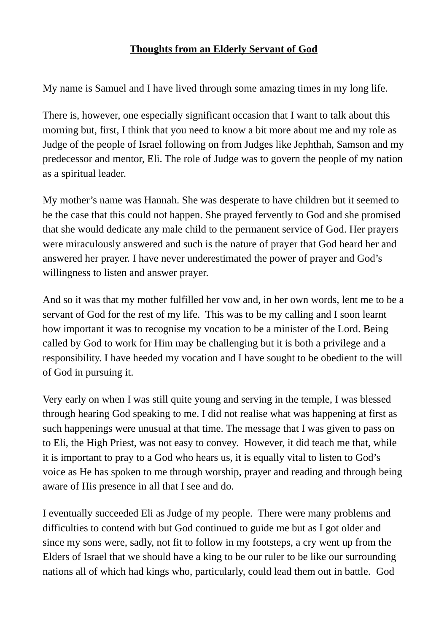## **Thoughts from an Elderly Servant of God**

My name is Samuel and I have lived through some amazing times in my long life.

There is, however, one especially significant occasion that I want to talk about this morning but, first, I think that you need to know a bit more about me and my role as Judge of the people of Israel following on from Judges like Jephthah, Samson and my predecessor and mentor, Eli. The role of Judge was to govern the people of my nation as a spiritual leader.

My mother's name was Hannah. She was desperate to have children but it seemed to be the case that this could not happen. She prayed fervently to God and she promised that she would dedicate any male child to the permanent service of God. Her prayers were miraculously answered and such is the nature of prayer that God heard her and answered her prayer. I have never underestimated the power of prayer and God's willingness to listen and answer prayer.

And so it was that my mother fulfilled her vow and, in her own words, lent me to be a servant of God for the rest of my life. This was to be my calling and I soon learnt how important it was to recognise my vocation to be a minister of the Lord. Being called by God to work for Him may be challenging but it is both a privilege and a responsibility. I have heeded my vocation and I have sought to be obedient to the will of God in pursuing it.

Very early on when I was still quite young and serving in the temple, I was blessed through hearing God speaking to me. I did not realise what was happening at first as such happenings were unusual at that time. The message that I was given to pass on to Eli, the High Priest, was not easy to convey. However, it did teach me that, while it is important to pray to a God who hears us, it is equally vital to listen to God's voice as He has spoken to me through worship, prayer and reading and through being aware of His presence in all that I see and do.

I eventually succeeded Eli as Judge of my people. There were many problems and difficulties to contend with but God continued to guide me but as I got older and since my sons were, sadly, not fit to follow in my footsteps, a cry went up from the Elders of Israel that we should have a king to be our ruler to be like our surrounding nations all of which had kings who, particularly, could lead them out in battle. God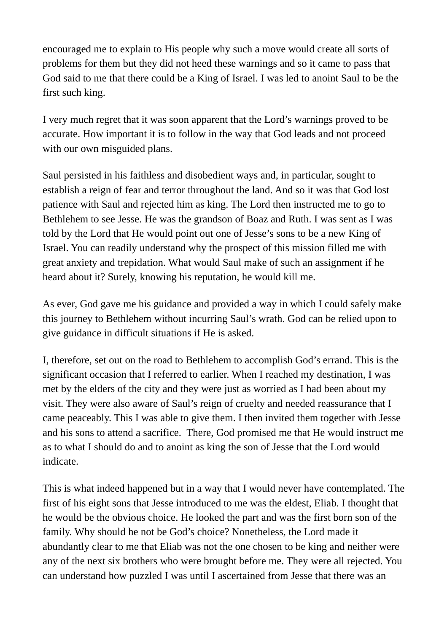encouraged me to explain to His people why such a move would create all sorts of problems for them but they did not heed these warnings and so it came to pass that God said to me that there could be a King of Israel. I was led to anoint Saul to be the first such king.

I very much regret that it was soon apparent that the Lord's warnings proved to be accurate. How important it is to follow in the way that God leads and not proceed with our own misguided plans.

Saul persisted in his faithless and disobedient ways and, in particular, sought to establish a reign of fear and terror throughout the land. And so it was that God lost patience with Saul and rejected him as king. The Lord then instructed me to go to Bethlehem to see Jesse. He was the grandson of Boaz and Ruth. I was sent as I was told by the Lord that He would point out one of Jesse's sons to be a new King of Israel. You can readily understand why the prospect of this mission filled me with great anxiety and trepidation. What would Saul make of such an assignment if he heard about it? Surely, knowing his reputation, he would kill me.

As ever, God gave me his guidance and provided a way in which I could safely make this journey to Bethlehem without incurring Saul's wrath. God can be relied upon to give guidance in difficult situations if He is asked.

I, therefore, set out on the road to Bethlehem to accomplish God's errand. This is the significant occasion that I referred to earlier. When I reached my destination, I was met by the elders of the city and they were just as worried as I had been about my visit. They were also aware of Saul's reign of cruelty and needed reassurance that I came peaceably. This I was able to give them. I then invited them together with Jesse and his sons to attend a sacrifice. There, God promised me that He would instruct me as to what I should do and to anoint as king the son of Jesse that the Lord would indicate.

This is what indeed happened but in a way that I would never have contemplated. The first of his eight sons that Jesse introduced to me was the eldest, Eliab. I thought that he would be the obvious choice. He looked the part and was the first born son of the family. Why should he not be God's choice? Nonetheless, the Lord made it abundantly clear to me that Eliab was not the one chosen to be king and neither were any of the next six brothers who were brought before me. They were all rejected. You can understand how puzzled I was until I ascertained from Jesse that there was an